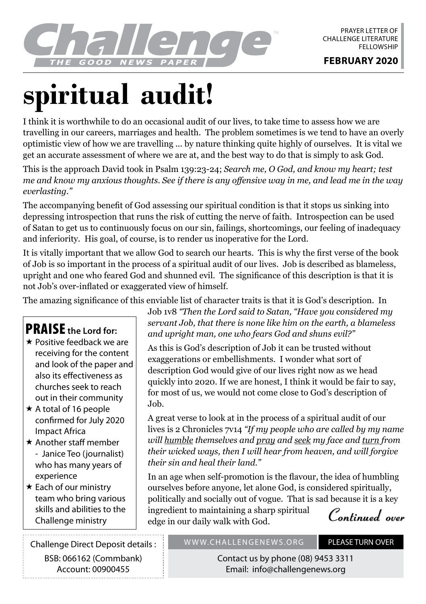

# **spiritual audit!**

I think it is worthwhile to do an occasional audit of our lives, to take time to assess how we are travelling in our careers, marriages and health. The problem sometimes is we tend to have an overly optimistic view of how we are travelling ... by nature thinking quite highly of ourselves. It is vital we get an accurate assessment of where we are at, and the best way to do that is simply to ask God.

This is the approach David took in Psalm 139:23-24; *Search me, O God, and know my heart; test me and know my anxious thoughts. See if there is any offensive way in me, and lead me in the way everlasting."*

The accompanying benefit of God assessing our spiritual condition is that it stops us sinking into depressing introspection that runs the risk of cutting the nerve of faith. Introspection can be used of Satan to get us to continuously focus on our sin, failings, shortcomings, our feeling of inadequacy and inferiority. His goal, of course, is to render us inoperative for the Lord.

It is vitally important that we allow God to search our hearts. This is why the first verse of the book of Job is so important in the process of a spiritual audit of our lives. Job is described as blameless, upright and one who feared God and shunned evil. The significance of this description is that it is not Job's over-inflated or exaggerated view of himself.

The amazing significance of this enviable list of character traits is that it is God's description. In

## PRAISE **the Lord for:**

- \* Positive feedback we are receiving for the content and look of the paper and also its effectiveness as churches seek to reach out in their community
- $\star$  A total of 16 people confirmed for July 2020 Impact Africa
- $\star$  Another staff member - Janice Teo (journalist) who has many years of experience
- $\star$  Each of our ministry team who bring various skills and abilities to the Challenge ministry

Challenge Direct Deposit details : BSB: 066162 (Commbank) Account: 00900455

Job 1v8 *"Then the Lord said to Satan, "Have you considered my servant Job, that there is none like him on the earth, a blameless and upright man, one who fears God and shuns evil?"*

As this is God's description of Job it can be trusted without exaggerations or embellishments. I wonder what sort of description God would give of our lives right now as we head quickly into 2020. If we are honest, I think it would be fair to say, for most of us, we would not come close to God's description of Job.

A great verse to look at in the process of a spiritual audit of our lives is 2 Chronicles 7v14 *"If my people who are called by my name will humble themselves and pray and seek my face and turn from their wicked ways, then I will hear from heaven, and will forgive their sin and heal their land."*

In an age when self-promotion is the flavour, the idea of humbling ourselves before anyone, let alone God, is considered spiritually, politically and socially out of vogue. That is sad because it is a key ingredient to maintaining a sharp spiritual edge in our daily walk with God.

**Continued over**

#### WWW.CHALLENGENEWS.ORG PLEASE TURN OVER

Contact us by phone (08) 9453 3311 Email: info@challengenews.org